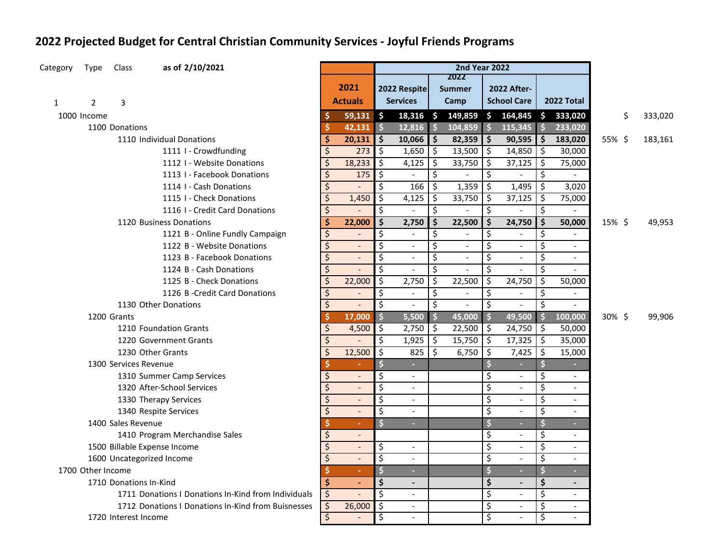## **2022 Projected Budget for Central Christian Community Services - Joyful Friends Programs**

| Category     | Type              | Class                  | as of 2/10/2021                                     |                          |                          | <b>2nd Year 2022</b>    |                          |                          |                          |                         |                           |                     |                           |        |               |
|--------------|-------------------|------------------------|-----------------------------------------------------|--------------------------|--------------------------|-------------------------|--------------------------|--------------------------|--------------------------|-------------------------|---------------------------|---------------------|---------------------------|--------|---------------|
|              |                   |                        |                                                     |                          | 2021                     |                         |                          |                          | 2022                     |                         |                           |                     |                           |        |               |
|              |                   |                        |                                                     |                          |                          |                         | 2022 Respite             |                          | <b>Summer</b>            |                         | <b>2022 After-</b>        |                     |                           |        |               |
| $\mathbf{1}$ | $\overline{2}$    | 3                      |                                                     |                          | <b>Actuals</b>           |                         | <b>Services</b>          |                          | Camp                     |                         | <b>School Care</b>        |                     | 2022 Total                |        |               |
|              | 1000 Income       |                        |                                                     |                          | 59,131                   | $\vert$ \$              | $18,316$ \$              |                          | 149,859                  | $\mathsf{S}$            | 164,845                   |                     | \$333,020                 |        | \$<br>333,020 |
|              |                   | 1100 Donations         |                                                     | S                        | 42,131                   | $\vert$ \$              | 12,816                   | $\frac{1}{2}$            | 104,859                  | $\overline{\bullet}$    | 115,345                   | $\frac{1}{2}$       | 233,020                   |        |               |
|              |                   |                        | 1110 Individual Donations                           | Ś                        | 20,131                   | $\ddot{\bm{\zeta}}$     | 10,066                   | $\ddot{\bm{\zeta}}$      | 82,359                   | $\ddot{\bm{\zeta}}$     | 90,595                    | \$                  | 183,020                   | 55% \$ | 183,161       |
|              |                   |                        | 1111 I - Crowdfunding                               | \$                       | 273                      | \$                      | 1,650                    | \$                       | 13,500                   | \$                      | 14,850                    | \$                  | 30,000                    |        |               |
|              |                   |                        | 1112 I - Website Donations                          | \$                       | 18,233                   | $\zeta$                 | 4,125                    | \$                       | 33,750                   | \$                      | 37,125                    | $\ddot{\mathsf{S}}$ | 75,000                    |        |               |
|              |                   |                        | 1113 I - Facebook Donations                         | $\zeta$                  | 175                      | $\zeta$                 | $\overline{\phantom{a}}$ | $\overline{\mathcal{S}}$ | $\overline{\phantom{0}}$ | \$                      |                           | \$                  |                           |        |               |
|              |                   |                        | 1114 I - Cash Donations                             | $\zeta$                  |                          | \$                      | 166                      | \$                       | 1,359                    | \$                      | 1,495                     | \$                  | 3,020                     |        |               |
|              |                   |                        | 1115 I - Check Donations                            | $\zeta$                  | 1,450                    | \$                      | 4,125                    | \$                       | 33,750                   | \$                      | 37,125                    | \$                  | 75,000                    |        |               |
|              |                   |                        | 1116 I - Credit Card Donations                      | $\overline{\mathcal{S}}$ |                          | \$                      | $\overline{\phantom{a}}$ | $\overline{\mathcal{S}}$ |                          | $\overline{\mathsf{S}}$ |                           | \$                  | $\sim$                    |        |               |
|              |                   |                        | 1120 Business Donations                             | \$                       | 22,000                   | $\ddot{\bm{\zeta}}$     | 2,750                    | \$                       | 22,500                   | \$                      | 24,750                    | $\ddot{\bm{\zeta}}$ | 50,000                    | 15% \$ | 49,953        |
|              |                   |                        | 1121 B - Online Fundly Campaign                     | \$                       |                          | \$                      | $\overline{\phantom{a}}$ | \$                       |                          | \$                      |                           | \$                  | $\overline{\phantom{a}}$  |        |               |
|              |                   |                        | 1122 B - Website Donations                          | \$                       |                          | \$                      | $\omega$                 | \$                       | $\blacksquare$           | \$                      | $\omega$                  | \$                  | $\blacksquare$            |        |               |
|              |                   |                        | 1123 B - Facebook Donations                         | \$                       |                          | \$                      | $\blacksquare$           | \$                       | $\blacksquare$           | \$                      | $\blacksquare$            | \$                  | $\blacksquare$            |        |               |
|              |                   |                        | 1124 B - Cash Donations                             | $\zeta$                  |                          | $\overline{\mathsf{s}}$ | $\overline{\phantom{a}}$ | $\overline{\mathcal{S}}$ | $\blacksquare$           | \$                      | $\blacksquare$            | \$                  | $\overline{\phantom{a}}$  |        |               |
|              |                   |                        | 1125 B - Check Donations                            | $\zeta$                  | 22,000                   | $\zeta$                 | 2,750                    | \$                       | 22,500                   | \$                      | 24,750                    | Ŝ.                  | 50,000                    |        |               |
|              |                   |                        | 1126 B - Credit Card Donations                      | $\varsigma$              |                          | \$                      | $\overline{\phantom{a}}$ | \$                       | $\overline{\phantom{a}}$ | \$                      | $\overline{\phantom{a}}$  | \$                  | $\blacksquare$            |        |               |
|              |                   |                        | 1130 Other Donations                                | $\zeta$                  |                          | $\zeta$                 | $\blacksquare$           | \$                       | $\overline{\phantom{a}}$ | \$                      |                           | \$                  | $\overline{\phantom{a}}$  |        |               |
|              |                   | 1200 Grants            |                                                     | \$                       | 17,000                   | $\ddot{\bm{\zeta}}$     | 5,500                    | $\ddot{\bm{\zeta}}$      | 45,000                   | $\ddot{\bm{\zeta}}$     | 49,500                    | $\ddot{\bm{\zeta}}$ | 100,000                   | 30%\$  | 99,906        |
|              |                   |                        | 1210 Foundation Grants                              | \$                       | 4,500                    | \$                      | 2,750                    | \$                       | 22,500                   | \$                      | 24,750                    | \$                  | 50,000                    |        |               |
|              |                   |                        | 1220 Government Grants                              | $\zeta$                  |                          | $\zeta$                 | 1,925                    | \$                       | 15,750                   | $\zeta$                 | 17,325                    | \$                  | 35,000                    |        |               |
|              |                   |                        | 1230 Other Grants                                   | $\zeta$                  | 12,500                   | ऽ                       | 825                      | \$                       | 6,750                    | \$                      | 7,425                     | \$                  | 15,000                    |        |               |
|              |                   | 1300 Services Revenue  |                                                     | \$                       |                          | \$                      | ÷.                       |                          |                          | \$                      |                           | \$                  |                           |        |               |
|              |                   |                        | 1310 Summer Camp Services                           | \$                       |                          | \$                      | $\blacksquare$           |                          |                          | \$                      | $\omega$                  | \$                  | $\blacksquare$            |        |               |
|              |                   |                        | 1320 After-School Services                          | $\zeta$                  | $\Box$                   | \$                      | $\blacksquare$           |                          |                          | \$                      | $\omega$                  | \$                  | $\mathbb{L}^{\mathbb{N}}$ |        |               |
|              |                   |                        | 1330 Therapy Services                               | \$                       | $\overline{\phantom{a}}$ | \$                      | $\overline{\phantom{a}}$ |                          |                          | \$                      | $\overline{\phantom{a}}$  | \$                  | $\overline{\phantom{a}}$  |        |               |
|              |                   |                        | 1340 Respite Services                               | $\overline{\mathsf{S}}$  | $\overline{\phantom{a}}$ | \$                      | $\blacksquare$           |                          |                          | \$                      | $\sim$                    | \$                  | $\overline{\phantom{a}}$  |        |               |
|              |                   | 1400 Sales Revenue     |                                                     | \$                       | ÷                        | \$                      | н                        |                          |                          | \$                      | $\sim$                    | \$                  |                           |        |               |
|              |                   |                        | 1410 Program Merchandise Sales                      | \$                       |                          |                         |                          |                          |                          | \$                      | $\mathbf{r}$              | \$                  | $\blacksquare$            |        |               |
|              |                   |                        | 1500 Billable Expense Income                        | $\overline{\mathcal{L}}$ |                          | \$                      | $\overline{\phantom{a}}$ |                          |                          | \$                      | $\blacksquare$            | \$                  | $\blacksquare$            |        |               |
|              |                   |                        | 1600 Uncategorized Income                           | $\zeta$                  |                          | \$                      | $\overline{\phantom{a}}$ |                          |                          | \$                      | $\overline{a}$            | \$                  | $\blacksquare$            |        |               |
|              | 1700 Other Income |                        |                                                     | \$                       | ÷                        | \$                      | ×.                       |                          |                          | \$                      | a.                        | \$                  | ÷.                        |        |               |
|              |                   | 1710 Donations In-Kind |                                                     | Ś                        |                          | \$                      | $\blacksquare$           |                          |                          | \$                      |                           | \$                  | $\overline{\phantom{a}}$  |        |               |
|              |                   |                        | 1711 Donations   Donations In-Kind from Individuals | $\ddot{\mathsf{S}}$      |                          | \$                      | $\overline{a}$           |                          |                          | \$                      | $\mathbb{Z}^{\mathbb{Z}}$ | \$                  | $\blacksquare$            |        |               |
|              |                   |                        | 1712 Donations I Donations In-Kind from Buisnesses  | \$                       | 26,000                   | $\zeta$                 | $\overline{\phantom{a}}$ |                          |                          | \$                      | $\omega$                  | \$                  | $\blacksquare$            |        |               |
|              |                   | 1720 Interest Income   |                                                     | $\varsigma$              |                          | \$                      |                          |                          |                          | Ś                       |                           | \$                  |                           |        |               |
|              |                   |                        |                                                     |                          |                          |                         |                          |                          |                          |                         |                           |                     |                           |        |               |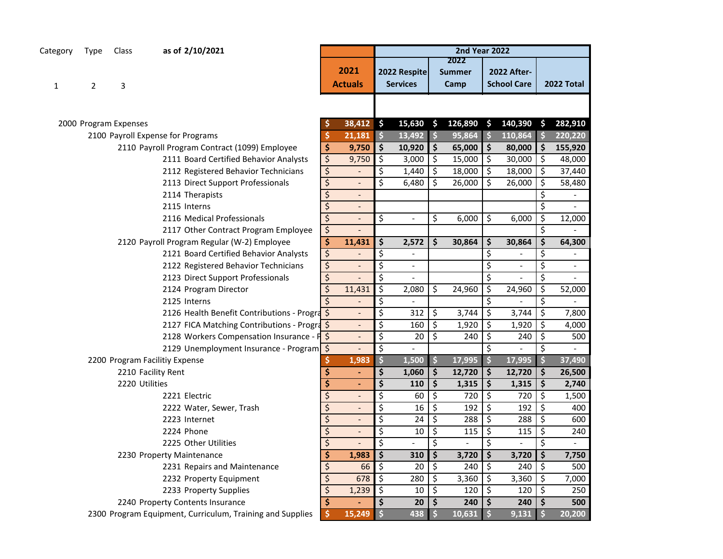| Category                | Type | Class                 | as of 2/10/2021                                           |                  |                          |                          |                                 |                          | <b>2nd Year 2022</b>          |                     |                                          |    |                          |
|-------------------------|------|-----------------------|-----------------------------------------------------------|------------------|--------------------------|--------------------------|---------------------------------|--------------------------|-------------------------------|---------------------|------------------------------------------|----|--------------------------|
| 1                       | 2    | 3                     |                                                           |                  | 2021<br><b>Actuals</b>   |                          | 2022 Respite<br><b>Services</b> |                          | 2022<br><b>Summer</b><br>Camp |                     | <b>2022 After-</b><br><b>School Care</b> |    | 2022 Total               |
|                         |      |                       |                                                           |                  |                          |                          |                                 |                          |                               |                     |                                          |    |                          |
|                         |      | 2000 Program Expenses |                                                           |                  | 38,412                   | \$                       | 15,630                          | $\mathsf{S}$             | 126,890                       | <b>S</b>            | 140,390                                  | Ŝ. | 282,910                  |
|                         |      |                       | 2100 Payroll Expense for Programs                         | Ŝ                | 21,181                   | $\ddot{\mathsf{s}}$      | 13,492                          | $\ddot{\mathsf{s}}$      | 95,864                        | $\ddot{\mathsf{s}}$ | 110,864                                  |    | 220,220                  |
|                         |      |                       | 2110 Payroll Program Contract (1099) Employee             | \$               | 9,750                    | \$                       | 10,920                          | \$                       | 65,000                        | \$                  | 80,000                                   | \$ | 155,920                  |
|                         |      |                       | 2111 Board Certified Behavior Analysts                    | \$               | 9,750                    | \$                       | 3,000                           | \$                       | 15,000                        | \$                  | 30,000                                   | \$ | 48,000                   |
|                         |      |                       | 2112 Registered Behavior Technicians                      | \$               |                          | \$                       | 1,440                           | \$                       | 18,000                        | \$                  | 18,000                                   | \$ | 37,440                   |
|                         |      |                       | 2113 Direct Support Professionals                         | \$               | $\overline{\phantom{m}}$ | $\overline{\mathsf{S}}$  | 6,480                           | \$                       | 26,000                        | \$                  | 26,000                                   | \$ | 58,480                   |
|                         |      |                       | 2114 Therapists                                           | \$               | $\overline{\phantom{a}}$ |                          |                                 |                          |                               |                     |                                          | \$ |                          |
|                         |      |                       | 2115 Interns                                              | \$               | $\overline{\phantom{a}}$ |                          |                                 |                          |                               |                     |                                          | \$ |                          |
|                         |      |                       | 2116 Medical Professionals                                | $\overline{\xi}$ | $\overline{\phantom{a}}$ | \$                       | $\blacksquare$                  | \$                       | 6,000                         | \$                  | 6,000                                    | \$ | 12,000                   |
|                         |      |                       | 2117 Other Contract Program Employee                      | $\varsigma$      |                          |                          |                                 |                          |                               |                     |                                          | \$ |                          |
|                         |      |                       | 2120 Payroll Program Regular (W-2) Employee               | \$               | 11,431                   | \$                       | 2,572                           | \$                       | 30,864                        | \$                  | 30,864                                   | \$ | 64,300                   |
|                         |      |                       | 2121 Board Certified Behavior Analysts                    | \$               |                          | \$                       |                                 |                          |                               | \$                  |                                          | \$ |                          |
|                         |      |                       | 2122 Registered Behavior Technicians                      | \$               | $\overline{a}$           | \$                       | $\overline{\phantom{a}}$        |                          |                               | \$                  | $\blacksquare$                           | \$ | $\overline{\phantom{a}}$ |
|                         |      |                       | 2123 Direct Support Professionals                         | \$               | $\overline{\phantom{m}}$ | $\overline{\mathsf{S}}$  | $\blacksquare$                  |                          |                               | \$                  |                                          | \$ |                          |
|                         |      |                       | 2124 Program Director                                     | \$               | 11,431                   | \$                       | 2,080                           | \$                       | 24,960                        | \$                  | 24,960                                   | \$ | 52,000                   |
|                         |      |                       | 2125 Interns                                              | Ś                |                          | \$                       | $\overline{a}$                  |                          |                               | \$                  |                                          | \$ |                          |
|                         |      |                       | 2126 Health Benefit Contributions - Progra                |                  | $\overline{\phantom{a}}$ | \$                       | 312                             | \$                       | 3,744                         | \$                  | 3,744                                    | \$ | 7,800                    |
|                         |      |                       | 2127 FICA Matching Contributions - Progra                 |                  | $\overline{\phantom{m}}$ | \$                       | 160                             | \$                       | 1,920                         | \$                  | 1,920                                    | \$ | 4,000                    |
|                         |      |                       | 2128 Workers Compensation Insurance - P \$                |                  |                          | \$                       | 20                              | \$                       | 240                           | \$                  | 240                                      | \$ | 500                      |
|                         |      |                       | 2129 Unemployment Insurance - Program \$                  |                  | $\overline{a}$           | $\overline{\mathcal{S}}$ | $\overline{\phantom{a}}$        |                          |                               | \$                  |                                          | \$ |                          |
|                         |      |                       | 2200 Program Facilitiy Expense                            |                  | 1,983                    | \$                       | 1,500                           | $\frac{1}{2}$            | 17,995                        | $\ddot{\bm{\zeta}}$ | 17,995                                   | \$ | 37,490                   |
|                         |      |                       | 2210 Facility Rent                                        | \$               | $\blacksquare$           | \$                       | 1,060                           | \$                       | 12,720                        | \$                  | 12,720                                   | \$ | 26,500                   |
|                         |      | 2220 Utilities        |                                                           | \$               |                          | \$                       | 110                             | \$                       | 1,315                         | \$                  | 1,315                                    | \$ | 2,740                    |
|                         |      |                       | 2221 Electric                                             | \$               | $\overline{a}$           | \$                       | 60                              | \$                       | 720                           | \$                  | 720                                      | \$ | 1,500                    |
|                         |      |                       | 2222 Water, Sewer, Trash                                  | \$               |                          | $\overline{\mathcal{S}}$ | 16                              | $\overline{\mathcal{S}}$ | 192                           | \$                  | 192                                      | \$ | 400                      |
|                         |      |                       | 2223 Internet                                             | \$               |                          | \$                       | 24                              | \$                       | 288                           | \$                  | 288                                      | \$ | 600                      |
|                         |      |                       | 2224 Phone                                                | \$               |                          | $\overline{\mathsf{S}}$  | 10                              | \$                       | 115                           | \$                  | 115                                      | \$ | 240                      |
|                         |      |                       | 2225 Other Utilities                                      | \$               | $\overline{a}$           | $\overline{\mathsf{S}}$  | $\overline{\phantom{a}}$        | \$                       | $\overline{\phantom{a}}$      | \$                  |                                          | \$ | $\blacksquare$           |
|                         |      |                       | 2230 Property Maintenance                                 | \$               | 1,983                    | \$                       | 310                             | \$                       | 3,720                         | \$                  | 3,720                                    | \$ | 7,750                    |
|                         |      |                       | 2231 Repairs and Maintenance                              | \$               | 66                       | \$                       | 20                              | \$                       | 240                           | \$                  | 240                                      | \$ | 500                      |
| 2232 Property Equipment |      | \$                    | 678                                                       | \$               | 280                      | \$                       | 3,360                           | \$                       | 3,360                         | \$                  | 7,000                                    |    |                          |
|                         |      |                       | 2233 Property Supplies                                    | \$               | 1,239                    | \$                       | 10                              | \$                       | 120                           | \$                  | 120                                      | \$ | 250                      |
|                         |      |                       | 2240 Property Contents Insurance                          | \$               |                          | \$                       | 20                              | \$                       | 240                           | \$                  | 240                                      | \$ | 500                      |
|                         |      |                       | 2300 Program Equipment, Curriculum, Training and Supplies |                  | 15,249                   | \$                       | 438                             | $\dot{\mathsf{s}}$       | 10,631                        | $\ddot{\mathsf{s}}$ | 9,131                                    |    | 20,200                   |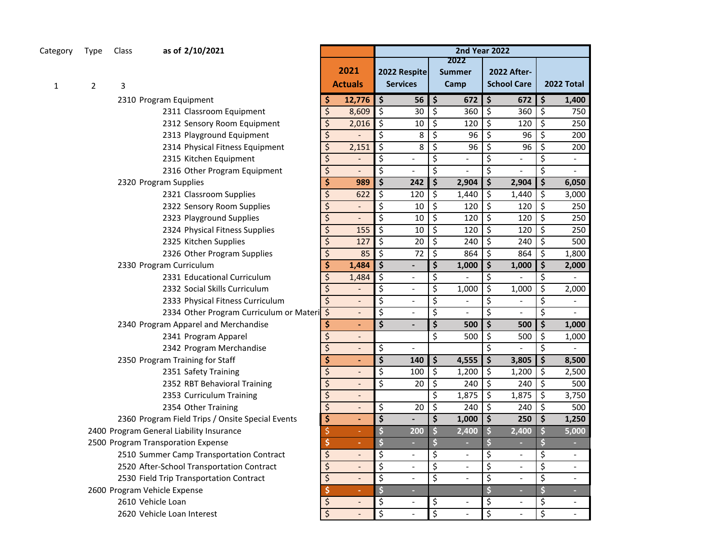| Type Class<br>Category |  | as of 2/10/2021 |
|------------------------|--|-----------------|
|------------------------|--|-----------------|

1 2 3

| Type | Class                                     | as of 2/10/2021                                       |                         |                          | <b>2nd Year 2022</b><br>2022 |                          |                         |                          |    |                          |    |                          |  |
|------|-------------------------------------------|-------------------------------------------------------|-------------------------|--------------------------|------------------------------|--------------------------|-------------------------|--------------------------|----|--------------------------|----|--------------------------|--|
|      |                                           |                                                       |                         | 2021                     | 2022 Respite                 |                          |                         |                          |    |                          |    |                          |  |
|      |                                           |                                                       |                         |                          |                              |                          |                         | <b>Summer</b>            |    | <b>2022 After-</b>       |    |                          |  |
| 2    | 3                                         |                                                       |                         | <b>Actuals</b>           |                              | <b>Services</b>          |                         | Camp                     |    | <b>School Care</b>       |    | 2022 Total               |  |
|      |                                           | 2310 Program Equipment                                | S                       | 12,776                   | \$                           | 56                       | \$                      | 672                      | \$ | 672                      | \$ | 1,400                    |  |
|      |                                           | 2311 Classroom Equipment                              | \$                      | 8,609                    | \$                           | 30                       | \$                      | 360                      | \$ | 360                      | \$ | 750                      |  |
|      |                                           | 2312 Sensory Room Equipment                           | $\overline{\xi}$        | 2,016                    | \$                           | 10                       | \$                      | 120                      | \$ | 120                      | \$ | 250                      |  |
|      |                                           | 2313 Playground Equipment                             | \$                      |                          | \$                           | 8                        | \$                      | 96                       | \$ | 96                       | \$ | 200                      |  |
|      |                                           | 2314 Physical Fitness Equipment                       | \$                      | 2,151                    | \$                           | 8                        | \$                      | 96                       | \$ | 96                       | \$ | 200                      |  |
|      |                                           | 2315 Kitchen Equipment                                | \$                      |                          | \$                           | $\blacksquare$           | \$                      | $\overline{a}$           | \$ | $\overline{\phantom{a}}$ | \$ | $\overline{\phantom{a}}$ |  |
|      |                                           | 2316 Other Program Equipment                          | $\overline{\xi}$        | $\overline{a}$           | \$                           | $\overline{\phantom{a}}$ | \$                      | $\overline{\phantom{a}}$ | \$ | $\overline{a}$           | \$ | $\overline{\phantom{0}}$ |  |
|      |                                           | 2320 Program Supplies                                 | \$                      | 989                      | \$                           | 242                      | \$                      | 2,904                    | \$ | 2,904                    | \$ | 6,050                    |  |
|      |                                           | 2321 Classroom Supplies                               | \$                      | 622                      | \$                           | 120                      | \$                      | 1,440                    | \$ | 1,440                    | \$ | 3,000                    |  |
|      |                                           | 2322 Sensory Room Supplies                            | \$                      |                          | \$                           | 10                       | \$                      | 120                      | \$ | 120                      | \$ | 250                      |  |
|      |                                           | 2323 Playground Supplies                              | $\overline{\xi}$        | $\overline{a}$           | $\overline{\xi}$             | 10                       | \$                      | 120                      | \$ | 120                      | \$ | 250                      |  |
|      |                                           | 2324 Physical Fitness Supplies                        | \$                      | 155                      | \$                           | 10                       | \$                      | 120                      | \$ | 120                      | \$ | 250                      |  |
|      |                                           | 2325 Kitchen Supplies                                 | \$                      | 127                      | \$                           | 20                       | \$                      | 240                      | \$ | 240                      | \$ | 500                      |  |
|      |                                           | 2326 Other Program Supplies                           | \$                      | 85                       | \$                           | 72                       | \$                      | 864                      | \$ | 864                      | \$ | 1,800                    |  |
|      |                                           | 2330 Program Curriculum                               | \$                      | 1,484                    | \$                           | $\overline{a}$           | \$                      | 1,000                    | \$ | 1,000                    | \$ | 2,000                    |  |
|      |                                           | 2331 Educational Curriculum                           | \$                      | 1,484                    | \$                           | $\overline{a}$           | \$                      |                          | \$ |                          | \$ |                          |  |
|      |                                           | 2332 Social Skills Curriculum                         | \$                      |                          | \$                           | $\overline{\phantom{a}}$ | \$                      | 1,000                    | \$ | 1,000                    | \$ | 2,000                    |  |
|      |                                           | 2333 Physical Fitness Curriculum                      | $\overline{\xi}$        | $\overline{a}$           | \$                           | $\overline{a}$           | \$                      | $\overline{a}$           | \$ | $\overline{a}$           | \$ | $\overline{\phantom{0}}$ |  |
|      |                                           | 2334 Other Program Curriculum or Materi <sup>\$</sup> |                         | $\overline{a}$           | \$                           | $\overline{a}$           | \$                      |                          | \$ |                          | \$ |                          |  |
|      |                                           | 2340 Program Apparel and Merchandise                  | \$                      | L,                       | $\overline{\mathsf{s}}$      |                          | $\overline{\mathsf{s}}$ | 500                      | \$ | 500                      | \$ | 1,000                    |  |
|      |                                           | 2341 Program Apparel                                  | $\overline{\mathsf{S}}$ | $\frac{1}{2}$            |                              |                          | \$                      | 500                      | \$ | 500                      | \$ | 1,000                    |  |
|      |                                           | 2342 Program Merchandise                              | \$                      | $\overline{\phantom{a}}$ | \$                           | $\blacksquare$           |                         |                          | \$ | $\overline{a}$           | \$ |                          |  |
|      |                                           | 2350 Program Training for Staff                       | \$                      | ٠                        | \$                           | 140                      | \$                      | 4,555                    | \$ | 3,805                    | \$ | 8,500                    |  |
|      |                                           | 2351 Safety Training                                  | \$                      | $\overline{a}$           | \$                           | 100                      | \$                      | 1,200                    | \$ | 1,200                    | \$ | 2,500                    |  |
|      |                                           | 2352 RBT Behavioral Training                          | $\overline{\mathsf{S}}$ | $\overline{a}$           | \$                           | 20                       | \$                      | 240                      | \$ | 240                      | \$ | 500                      |  |
|      |                                           | 2353 Curriculum Training                              | $\overline{\xi}$        |                          |                              |                          | \$                      | 1,875                    | \$ | 1,875                    | \$ | 3,750                    |  |
|      |                                           | 2354 Other Training                                   | $\overline{\mathsf{S}}$ | $\overline{\phantom{a}}$ | \$                           | 20                       | \$                      | 240                      | \$ | 240                      | \$ | 500                      |  |
|      |                                           | 2360 Program Field Trips / Onsite Special Events      | \$                      | $\blacksquare$           | \$                           | $\overline{a}$           | \$                      | 1,000                    | \$ | 250                      | \$ | 1,250                    |  |
|      |                                           | 2400 Program General Liability Insurance              | \$                      |                          | \$                           | 200                      | $\overline{\mathbf{S}}$ | 2,400                    | \$ | 2,400                    | \$ | 5,000                    |  |
|      |                                           | 2500 Program Transporation Expense                    | \$                      | ÷                        | \$                           | ÷                        | \$                      | ÷                        | \$ | $\sim$                   | \$ | ÷.                       |  |
|      |                                           | 2510 Summer Camp Transportation Contract              | \$                      | $\overline{\phantom{a}}$ | \$                           | $\overline{\phantom{a}}$ | \$                      | $\overline{\phantom{a}}$ | \$ | $\overline{\phantom{a}}$ | \$ | $\overline{\phantom{a}}$ |  |
|      | 2520 After-School Transportation Contract |                                                       |                         | $\overline{a}$           | \$                           | $\overline{\phantom{a}}$ | \$                      | $\overline{a}$           | \$ | $\overline{\phantom{a}}$ | \$ | $\blacksquare$           |  |
|      | 2530 Field Trip Transportation Contract   |                                                       |                         | $\overline{\phantom{a}}$ | $\overline{\mathsf{S}}$      | $\overline{\phantom{a}}$ | \$                      | $\overline{a}$           | \$ | $\blacksquare$           | \$ | $\overline{\phantom{a}}$ |  |
|      |                                           | 2600 Program Vehicle Expense                          | \$<br>\$                | ٠                        | \$                           | ۳                        |                         |                          | \$ | ä,                       | \$ | L,                       |  |
|      |                                           | 2610 Vehicle Loan                                     | $\boldsymbol{\zeta}$    | $\overline{a}$           | \$                           | $\overline{a}$           | \$                      |                          | \$ | $\overline{\phantom{a}}$ | \$ | $\overline{\phantom{a}}$ |  |
|      |                                           | 2620 Vehicle Loan Interest                            | \$                      |                          | \$                           | $\overline{a}$           | \$                      | $\overline{a}$           | \$ | $\overline{a}$           | \$ |                          |  |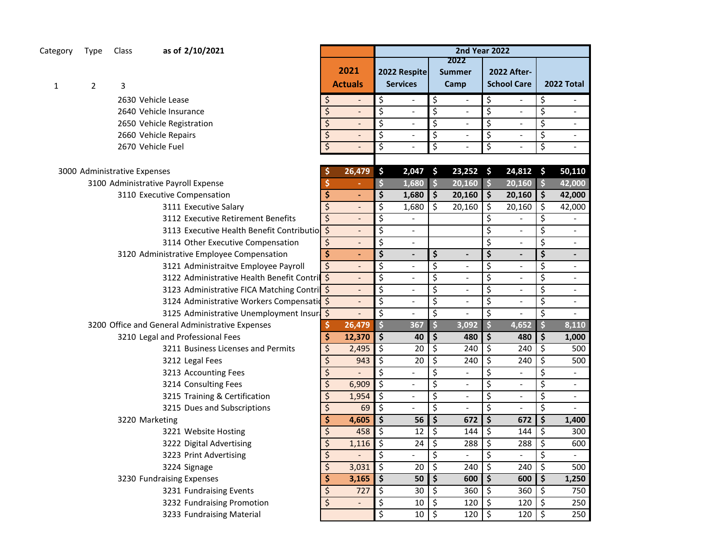## Category Type Class **as of 2/10/2021**

2 3

2630 Vehicle Lease 2640 Vehicle Insurance 2650 Vehicle Registration 2660 Vehicle Repairs 2670 Vehicle Fuel

| 3000 Administrative Expenses                    |                    | 26,479                   | \$                              | 2,047                    | -\$                             | 23,252                   | $\ddot{\bm{\zeta}}$ | 24,812                   | $\boldsymbol{\Theta}$ | 50,110                   |
|-------------------------------------------------|--------------------|--------------------------|---------------------------------|--------------------------|---------------------------------|--------------------------|---------------------|--------------------------|-----------------------|--------------------------|
| 3100 Administrative Payroll Expense             |                    |                          | \$                              | 1,680                    | $\frac{1}{2}$                   | 20,160                   | \$                  | 20,160                   | $\frac{1}{2}$         | 42,000                   |
| 3110 Executive Compensation                     | \$                 | $\overline{a}$           | \$                              | 1,680                    | $\frac{1}{2}$                   | 20,160                   | \$                  | 20,160                   | $\dot{\mathsf{s}}$    | 42,000                   |
| 3111 Executive Salary                           | \$                 | $\overline{\phantom{a}}$ | \$                              | 1,680                    | Ś.                              | 20,160                   | \$.                 | 20,160                   | Ś                     | 42,000                   |
| 3112 Executive Retirement Benefits              | \$                 | $\overline{\phantom{a}}$ | \$                              | $\blacksquare$           |                                 |                          | \$                  |                          | \$                    |                          |
| 3113 Executive Health Benefit Contributio       |                    | $\overline{\phantom{m}}$ | \$                              | $\overline{\phantom{a}}$ |                                 |                          | \$                  |                          | \$                    | $\blacksquare$           |
| 3114 Other Executive Compensation               | \$                 | $\overline{\phantom{a}}$ | \$                              | $\blacksquare$           |                                 |                          | \$                  |                          | \$                    | $\overline{\phantom{0}}$ |
| 3120 Administrative Employee Compensation       | \$                 | $\blacksquare$           | \$                              | $\blacksquare$           | \$                              | $\blacksquare$           | \$                  | $\blacksquare$           | \$                    | $\blacksquare$           |
| 3121 Administraitve Employee Payroll            | \$                 | $\overline{\phantom{a}}$ | \$                              | $\overline{a}$           | \$                              | $\overline{a}$           | \$                  |                          | \$                    |                          |
| 3122 Administrative Health Benefit Contril \$   |                    | $\overline{\phantom{a}}$ | \$                              | $\overline{\phantom{a}}$ | \$                              | $\overline{\phantom{a}}$ | $\overline{\xi}$    | $\overline{\phantom{a}}$ | \$                    | $\blacksquare$           |
| 3123 Administrative FICA Matching Contril \$    |                    | $\qquad \qquad -$        | \$                              | $\overline{\phantom{a}}$ | \$                              | $\overline{\phantom{a}}$ | \$                  |                          | \$                    | $\overline{\phantom{a}}$ |
| 3124 Administrative Workers Compensation        |                    | $\blacksquare$           | \$                              | $\overline{\phantom{a}}$ | \$                              | $\blacksquare$           | \$                  | $\overline{a}$           | \$                    |                          |
| 3125 Administrative Unemployment Insure         |                    |                          | \$                              | $\overline{\phantom{a}}$ | \$                              | $\blacksquare$           | \$                  |                          | \$                    |                          |
| 3200 Office and General Administrative Expenses |                    | 26,479                   |                                 | 367                      |                                 | 3,092                    |                     | 4,652                    |                       | 8,110                    |
| 3210 Legal and Professional Fees                | \$                 | 12,370                   | \$                              | 40                       | \$                              | 480                      | \$                  | 480                      | \$                    | 1,000                    |
| 3211 Business Licenses and Permits              | \$                 | 2,495                    | \$                              | 20                       | \$                              | 240                      | \$                  | 240                      | \$                    | 500                      |
| 3212 Legal Fees                                 | \$                 | 943                      | \$                              | 20                       | \$                              | 240                      | \$                  | 240                      | \$                    | 500                      |
| 3213 Accounting Fees                            | \$                 |                          | \$                              | $\overline{a}$           | \$                              | $\frac{1}{2}$            | \$                  |                          | \$                    |                          |
| 3214 Consulting Fees                            | $\overline{\xi}$   | 6,909                    | \$                              | $\overline{\phantom{a}}$ | \$                              | $\overline{\phantom{a}}$ | \$                  | $\tilde{\phantom{a}}$    | \$                    | $\overline{\phantom{a}}$ |
| 3215 Training & Certification                   | \$                 | 1,954                    | \$                              | $\overline{\phantom{a}}$ | \$                              | $\overline{\phantom{a}}$ | \$                  | $\tilde{\phantom{a}}$    | \$                    | $\blacksquare$           |
| 3215 Dues and Subscriptions                     | \$                 | 69                       | \$                              | $\blacksquare$           | \$                              | $\blacksquare$           | \$                  | $\overline{\phantom{a}}$ | \$                    | $\overline{a}$           |
| 3220 Marketing                                  | \$                 | 4,605                    | \$                              | 56                       | \$                              | 672                      | \$                  | 672                      | \$                    | 1,400                    |
| 3221 Website Hosting                            | \$                 | 458                      | \$                              | 12                       | \$                              | 144                      | \$                  | 144                      | \$                    | 300                      |
| 3222 Digital Advertising                        | \$                 | 1,116                    | \$                              | 24                       | \$                              | 288                      | \$                  | 288                      | \$                    | 600                      |
| 3223 Print Advertising                          | \$                 |                          | \$                              | $\overline{\phantom{a}}$ | \$                              | $\overline{\phantom{0}}$ | \$                  |                          | \$                    |                          |
| 3224 Signage                                    | \$                 | 3,031                    | \$                              | 20                       | \$                              | 240                      | \$                  | 240                      | \$                    | 500                      |
| 3230 Fundraising Expenses                       | \$                 | 3,165                    | $\overline{\boldsymbol{\zeta}}$ | 50                       | $\overline{\boldsymbol{\zeta}}$ | 600                      | \$                  | 600                      | \$                    | 1,250                    |
| 3231 Fundraising Events                         | \$                 | 727                      | \$                              | 30                       | \$                              | 360                      | \$                  | 360                      | \$                    | 750                      |
| 3232 Fundraising Promotion                      | $\mathsf{\dot{S}}$ |                          | Ś                               | 10                       | Ś                               | 120                      | <sup>\$</sup>       | 120                      | <sup>\$</sup>         | 250                      |

| as of 2/10/2021                               |                                 | <b>2nd Year 2022</b><br>2022 |                          |                                 |                                 |                          |                                 |                                          |                                 |                          |  |  |  |  |
|-----------------------------------------------|---------------------------------|------------------------------|--------------------------|---------------------------------|---------------------------------|--------------------------|---------------------------------|------------------------------------------|---------------------------------|--------------------------|--|--|--|--|
|                                               |                                 | 2021<br><b>Actuals</b>       |                          | 2022 Respite<br><b>Services</b> |                                 | <b>Summer</b><br>Camp    |                                 | <b>2022 After-</b><br><b>School Care</b> |                                 | 2022 Total               |  |  |  |  |
| le Lease                                      | \$                              |                              | \$                       |                                 | \$                              | $\overline{\phantom{0}}$ | \$                              |                                          | \$                              |                          |  |  |  |  |
| le Insurance                                  | $\overline{\xi}$                |                              | \$                       | $\blacksquare$                  | ड़                              | L,                       | \$                              | $\overline{a}$                           | \$                              |                          |  |  |  |  |
| le Registration                               | \$                              |                              | \$                       |                                 | \$                              |                          | $\overline{\xi}$                |                                          | \$                              |                          |  |  |  |  |
| le Repairs                                    | $\overline{\xi}$                | -                            | \$                       | $\qquad \qquad \blacksquare$    | \$                              | $\overline{\phantom{0}}$ | \$                              | $\overline{\phantom{0}}$                 | \$                              | $\overline{\phantom{0}}$ |  |  |  |  |
| le Fuel                                       | $\overline{\varsigma}$          | $\qquad \qquad -$            | \$                       | $\qquad \qquad \blacksquare$    | \$                              | $\overline{a}$           | \$                              | $\overline{a}$                           | \$                              |                          |  |  |  |  |
| ses                                           | Ş                               | 26,479                       | \$                       | 2,047                           | \$                              | 23,252                   | \$                              | 24,812                                   | \$                              | 50,110                   |  |  |  |  |
| e Payroll Expense                             | \$                              |                              | \$                       | 1,680                           | \$                              | 20,160                   | $\overline{\mathbf{S}}$         | 20,160                                   | \$                              | 42,000                   |  |  |  |  |
| tive Compensation                             | \$                              | ٠                            | \$                       | 1,680                           | \$                              | 20,160                   | \$                              | 20,160                                   | \$                              | 42,000                   |  |  |  |  |
| 3111 Executive Salary                         | $\overline{\xi}$                | $\overline{\phantom{a}}$     | \$                       | 1,680                           | \$                              | 20,160                   | \$                              | 20,160                                   | \$                              | 42,000                   |  |  |  |  |
| 3112 Executive Retirement Benefits            | $\overline{\xi}$                | $\overline{\phantom{0}}$     | \$                       |                                 |                                 |                          | $\overline{\xi}$                |                                          | \$                              |                          |  |  |  |  |
| 3113 Executive Health Benefit Contributio     | $\overline{\mathcal{S}}$        | $\overline{\phantom{0}}$     | \$                       | $\overline{\phantom{a}}$        |                                 |                          | \$                              | $\overline{\phantom{0}}$                 | \$                              |                          |  |  |  |  |
| 3114 Other Executive Compensation             | $\overline{\xi}$                |                              | \$                       | $\qquad \qquad \blacksquare$    |                                 |                          | \$                              |                                          | \$                              |                          |  |  |  |  |
| nistrative Employee Compensation              | \$                              | ÷                            | \$                       | $\overline{a}$                  | \$                              |                          | \$                              | -                                        | \$                              |                          |  |  |  |  |
| 3121 Administraitve Employee Payroll          | \$                              |                              | \$                       |                                 | \$                              |                          | $\overline{\xi}$                | $\overline{a}$                           | \$                              | $\overline{\phantom{a}}$ |  |  |  |  |
| 3122 Administrative Health Benefit Contril \$ |                                 | $\overline{\phantom{a}}$     | \$                       | $\overline{\phantom{a}}$        | \$                              | $\overline{\phantom{0}}$ | \$                              | $\qquad \qquad \blacksquare$             | \$                              | $\overline{\phantom{a}}$ |  |  |  |  |
| 3123 Administrative FICA Matching Contri      |                                 | ÷,                           | \$                       | $\overline{\phantom{a}}$        | \$                              | $\overline{a}$           | \$                              | $\overline{\phantom{a}}$                 | \$                              | $\frac{1}{2}$            |  |  |  |  |
| 3124 Administrative Workers Compensation      |                                 | ÷,                           | \$                       | $\overline{\phantom{a}}$        | \$                              | $\overline{\phantom{a}}$ | \$                              | $\frac{1}{2}$                            | $\overline{\xi}$                | $\overline{\phantom{0}}$ |  |  |  |  |
| 3125 Administrative Unemployment Insuri       | $\zeta$                         |                              | \$                       |                                 | \$                              |                          | \$                              |                                          | \$                              |                          |  |  |  |  |
| neral Administrative Expenses                 | \$                              | 26,479                       | \$                       | 367                             | \$                              | 3,092                    | \$                              | 4,652                                    | $\overline{\mathsf{S}}$         | 8,110                    |  |  |  |  |
| and Professional Fees                         | \$                              | 12,370                       | \$                       | 40                              | \$                              | 480                      | \$                              | 480                                      | \$                              | 1,000                    |  |  |  |  |
| 3211 Business Licenses and Permits            | \$                              | 2,495                        | \$                       | 20                              | \$                              | 240                      | \$                              | 240                                      | \$                              | 500                      |  |  |  |  |
| 3212 Legal Fees                               | \$                              | 943                          | $\overline{\mathcal{S}}$ | 20                              | \$                              | 240                      | $\overline{\mathcal{S}}$        | 240                                      | $\varsigma$                     | 500                      |  |  |  |  |
| 3213 Accounting Fees                          | \$                              |                              | \$                       | $\overline{\phantom{0}}$        | \$                              |                          | \$                              | $\overline{\phantom{0}}$                 | \$                              |                          |  |  |  |  |
| 3214 Consulting Fees                          | $\overline{\xi}$                | 6,909                        | $\overline{\xi}$         | $\frac{1}{2}$                   | \$                              | $\overline{a}$           | \$                              | $\overline{a}$                           | \$                              | $\frac{1}{2}$            |  |  |  |  |
| 3215 Training & Certification                 | $\overline{\xi}$                | 1,954                        | ऽ                        | $\overline{\phantom{a}}$        | \$                              | $\overline{a}$           | \$                              | $\overline{a}$                           | \$                              | $\frac{1}{2}$            |  |  |  |  |
| 3215 Dues and Subscriptions                   | \$                              | 69                           | ऽ                        |                                 | \$                              |                          | $\overline{\xi}$                |                                          | \$                              |                          |  |  |  |  |
| eting                                         | \$                              | 4,605                        | \$                       | 56                              | \$                              | 672                      | \$                              | 672                                      | \$                              | 1,400                    |  |  |  |  |
| 3221 Website Hosting                          | \$                              | 458                          | \$                       | 12                              | \$                              | 144                      | \$                              | 144                                      | \$                              | 300                      |  |  |  |  |
| 3222 Digital Advertising                      | $\overline{\xi}$                | 1,116                        | \$                       | 24                              | \$                              | 288                      | \$                              | 288                                      | \$                              | 600                      |  |  |  |  |
| 3223 Print Advertising                        | \$                              |                              | \$                       | $\overline{\phantom{a}}$        | \$                              | $\overline{a}$           | \$                              |                                          | \$                              |                          |  |  |  |  |
| 3224 Signage                                  | $\overline{\xi}$                | 3,031                        | $\overline{\xi}$         | 20                              | \$                              | 240                      | $\overline{\xi}$                | 240                                      | $\overline{\xi}$                | 500                      |  |  |  |  |
| aising Expenses                               | $\overline{\boldsymbol{\zeta}}$ | 3,165                        | $\overline{\mathbf{S}}$  | 50                              | $\overline{\boldsymbol{\zeta}}$ | 600                      | $\overline{\boldsymbol{\zeta}}$ | 600                                      | $\overline{\boldsymbol{\zeta}}$ | 1,250                    |  |  |  |  |
| 3231 Fundraising Events                       | \$                              | 727                          | \$                       | 30                              | $\overline{\mathcal{S}}$        | 360                      | \$                              | 360                                      | $\overline{\mathcal{S}}$        | 750                      |  |  |  |  |
| 3232 Fundraising Promotion                    | $\overline{\xi}$                | $\overline{\phantom{a}}$     | $\varsigma$              | 10                              | $\overline{\mathcal{S}}$        | 120                      | \$                              | 120                                      | $\zeta$                         | 250                      |  |  |  |  |
| 3233 Fundraising Material                     |                                 |                              | $\overline{\mathcal{L}}$ | 10                              | $\overline{\mathcal{L}}$        | 120                      | \$                              | 120                                      | \$                              | 250                      |  |  |  |  |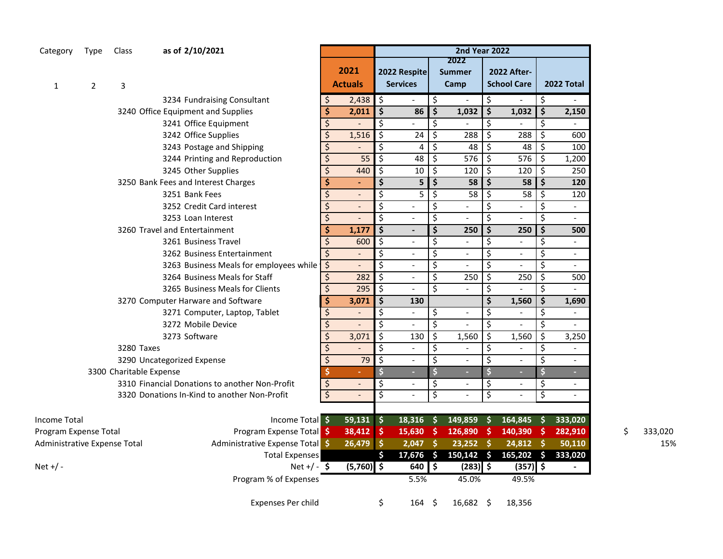| Category | Type Class |  | as of 2/10/2021 |
|----------|------------|--|-----------------|
|----------|------------|--|-----------------|

| 2<br>1                       | 3                                              |                         | 2021<br><b>Actuals</b>   |                     | 2022 Respite<br><b>Services</b> |                                 | <b>Summer</b><br>Camp    |                         | <b>2022 After-</b><br><b>School Care</b> |               | 2022 Total               |    |         |
|------------------------------|------------------------------------------------|-------------------------|--------------------------|---------------------|---------------------------------|---------------------------------|--------------------------|-------------------------|------------------------------------------|---------------|--------------------------|----|---------|
|                              | 3234 Fundraising Consultant                    | \$                      | 2,438                    | \$                  | $\overline{\phantom{a}}$        | \$                              | $\blacksquare$           | \$                      |                                          | \$            |                          |    |         |
|                              | 3240 Office Equipment and Supplies             | \$                      | 2,011                    | $\ddot{\bm{\zeta}}$ | 86                              | \$                              | 1,032                    | \$                      | 1,032                                    | \$            | 2,150                    |    |         |
|                              | 3241 Office Equipment                          | \$                      |                          | $\zeta$             |                                 | \$                              |                          | \$                      |                                          | \$            |                          |    |         |
|                              | 3242 Office Supplies                           | \$                      | 1,516                    | \$                  | 24                              | \$                              | 288                      | \$                      | 288                                      | \$            | 600                      |    |         |
|                              | 3243 Postage and Shipping                      | \$                      |                          | Ŝ.                  | 4                               | \$                              | 48                       | \$                      | 48                                       | \$            | 100                      |    |         |
|                              | 3244 Printing and Reproduction                 | \$                      | 55                       | Ŝ.                  | 48                              | \$                              | 576                      | \$                      | 576                                      | \$            | 1,200                    |    |         |
|                              | 3245 Other Supplies                            | \$                      | 440                      | $\zeta$             | $10\overline{5}$                |                                 | 120                      | \$                      | 120                                      | \$            | 250                      |    |         |
|                              | 3250 Bank Fees and Interest Charges            | \$                      |                          | $\dot{\mathsf{s}}$  | 5 <sup>1</sup>                  | $\dot{\mathsf{s}}$              | 58                       | \$                      | 58                                       | \$            | 120                      |    |         |
|                              | 3251 Bank Fees                                 | \$                      | $\overline{\phantom{a}}$ | \$                  | $\overline{5}$   $\overline{5}$ |                                 | 58                       | \$                      | 58                                       | \$            | 120                      |    |         |
|                              | 3252 Credit Card interest                      | \$                      |                          | \$                  | $\overline{\phantom{a}}$        | \$                              | $\overline{\phantom{a}}$ | \$                      | $\overline{a}$                           | \$            | $\equiv$                 |    |         |
|                              | 3253 Loan Interest                             | \$                      |                          | \$                  | $\blacksquare$                  | \$                              | $\blacksquare$           | \$                      | $\blacksquare$                           | \$            | $\blacksquare$           |    |         |
|                              | 3260 Travel and Entertainment                  | \$                      | 1,177                    | $\frac{1}{2}$       | $\blacksquare$                  | $\overline{\boldsymbol{\zeta}}$ | 250                      | \$                      | 250                                      | \$            | 500                      |    |         |
|                              | 3261 Business Travel                           | \$                      | 600                      | \$                  | $\blacksquare$                  | \$                              | $\overline{a}$           | $\overline{\mathsf{S}}$ | $\overline{a}$                           | \$            | $\blacksquare$           |    |         |
|                              | 3262 Business Entertainment                    | $\zeta$                 |                          | \$                  | $\blacksquare$                  | \$                              | $\blacksquare$           | \$                      | $\overline{\phantom{a}}$                 | \$            | $\overline{\phantom{a}}$ |    |         |
|                              | 3263 Business Meals for employees while        | $\zeta$                 |                          | \$                  | $\overline{\phantom{a}}$        | \$                              | $\overline{a}$           | $\overline{\mathsf{S}}$ | $\blacksquare$                           | \$            | $\overline{\phantom{a}}$ |    |         |
|                              | 3264 Business Meals for Staff                  | \$                      | 282                      | \$                  | $\omega$                        | \$                              | 250                      | \$                      | 250                                      | \$            | 500                      |    |         |
|                              | 3265 Business Meals for Clients                | \$                      | 295                      | $\zeta$             | $\sim$                          | \$                              |                          | \$                      |                                          | \$            |                          |    |         |
|                              | 3270 Computer Harware and Software             | \$                      | 3,071                    | $\frac{1}{2}$       | 130                             |                                 |                          | \$                      | 1,560                                    | \$            | 1,690                    |    |         |
|                              | 3271 Computer, Laptop, Tablet                  | \$                      |                          | \$                  | $\blacksquare$                  | \$                              | $\blacksquare$           | \$                      | $\blacksquare$                           | \$            | $\blacksquare$           |    |         |
|                              | 3272 Mobile Device                             | \$                      |                          | \$                  | $\equiv$                        | \$                              | $\mathbb{Z}$             | \$                      | $\mathbb{L}$                             | \$            | $\equiv$                 |    |         |
|                              | 3273 Software                                  | \$                      | 3,071                    | $\zeta$             | 130                             | \$                              | 1,560                    | \$                      | 1,560                                    | \$            | 3,250                    |    |         |
|                              | 3280 Taxes                                     | \$                      |                          | \$                  | $\omega$                        | \$                              | $\blacksquare$           | \$                      | $\blacksquare$                           | \$            | $\blacksquare$           |    |         |
|                              | 3290 Uncategorized Expense                     | \$                      | 79                       | \$                  | $\omega$                        | \$                              | $\blacksquare$           | \$                      | $\overline{a}$                           | \$            | $\equiv$                 |    |         |
|                              | 3300 Charitable Expense                        | \$                      |                          | <sup>\$</sup>       | ×.                              | S                               | $\sim$                   |                         | н                                        | $\mathsf{\$}$ | ÷.                       |    |         |
|                              | 3310 Financial Donations to another Non-Profit | \$                      |                          | \$                  | $\blacksquare$                  | \$                              | $\blacksquare$           | \$                      | $\overline{\phantom{a}}$                 | \$            | $\blacksquare$           |    |         |
|                              | 3320 Donations In-Kind to another Non-Profit   | $\overline{\mathsf{S}}$ |                          | \$                  | $\mathbf{r}$                    | \$                              | $\overline{a}$           | \$                      | $\overline{a}$                           | Ŝ.            | $\overline{a}$           |    |         |
| <b>Income Total</b>          | Income Total \$                                |                         | $59,131$ \$              |                     | $18,316$ \$                     |                                 | 149,859                  | $\ddot{\bm{s}}$         | 164,845                                  | $\frac{1}{2}$ | 333,020                  |    |         |
| Program Expense Total        | Program Expense Total \$                       |                         | 38,412 \$                |                     | $15,630$ \$                     |                                 | $126,890$ \$             |                         | 140,390                                  | - \$          | 282,910                  | \$ | 333,020 |
| Administrative Expense Total | Administrative Expense Total \$                |                         | 26,479                   | ∣\$                 | $2,047$ \$                      |                                 | $23,252$ \$              |                         | $24,812$ \$                              |               | 50,110                   |    | 15%     |
|                              | <b>Total Expenses</b>                          |                         |                          | \$                  | $17,676$ \$                     |                                 | $150, 142$ \$            |                         | $165,202 \quad $$                        |               | 333,020                  |    |         |
| Net +/ -                     | Net +/ - $\oint$                               |                         | $(5,760)$ \$             |                     | $640$ \$                        |                                 | $(283)$ \$               |                         | $(357)$ \$                               |               |                          |    |         |
|                              | Program % of Expenses                          |                         |                          |                     | 5.5%                            |                                 | 45.0%                    |                         | 49.5%                                    |               |                          |    |         |
|                              | <b>Expenses Per child</b>                      |                         |                          | \$                  | 164                             | - \$                            | $16,682 \quad $$         |                         | 18,356                                   |               |                          |    |         |

**2nd Year 2022**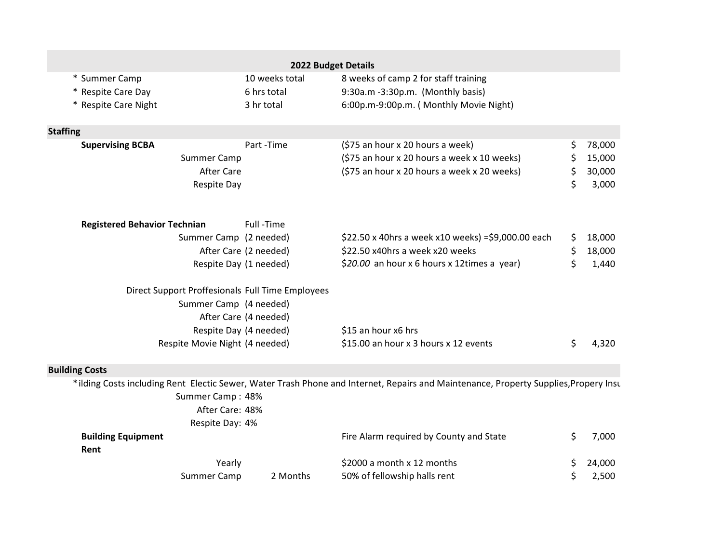|                                                  |                        | 2022 Budget Details                                                                                                                   |              |
|--------------------------------------------------|------------------------|---------------------------------------------------------------------------------------------------------------------------------------|--------------|
| * Summer Camp                                    | 10 weeks total         | 8 weeks of camp 2 for staff training                                                                                                  |              |
| * Respite Care Day                               | 6 hrs total            | 9:30a.m -3:30p.m. (Monthly basis)                                                                                                     |              |
| * Respite Care Night                             | 3 hr total             | 6:00p.m-9:00p.m. (Monthly Movie Night)                                                                                                |              |
| <b>Staffing</b>                                  |                        |                                                                                                                                       |              |
| <b>Supervising BCBA</b>                          | Part-Time              | (\$75 an hour x 20 hours a week)                                                                                                      | \$<br>78,000 |
| Summer Camp                                      |                        | (\$75 an hour x 20 hours a week x 10 weeks)                                                                                           | \$<br>15,000 |
| <b>After Care</b>                                |                        | (\$75 an hour x 20 hours a week x 20 weeks)                                                                                           | \$<br>30,000 |
| <b>Respite Day</b>                               |                        |                                                                                                                                       | \$<br>3,000  |
| <b>Registered Behavior Technian</b>              | Full-Time              |                                                                                                                                       |              |
| Summer Camp (2 needed)                           |                        | \$22.50 x 40hrs a week x10 weeks) = \$9,000.00 each                                                                                   | \$<br>18,000 |
|                                                  | After Care (2 needed)  | \$22.50 x40hrs a week x20 weeks                                                                                                       | \$<br>18,000 |
|                                                  | Respite Day (1 needed) | \$20.00 an hour x 6 hours x 12times a year)                                                                                           | \$<br>1,440  |
| Direct Support Proffesionals Full Time Employees |                        |                                                                                                                                       |              |
| Summer Camp (4 needed)                           |                        |                                                                                                                                       |              |
|                                                  | After Care (4 needed)  |                                                                                                                                       |              |
|                                                  | Respite Day (4 needed) | \$15 an hour x6 hrs                                                                                                                   |              |
| Respite Movie Night (4 needed)                   |                        | \$15.00 an hour x 3 hours x 12 events                                                                                                 | \$<br>4,320  |
| <b>Building Costs</b>                            |                        |                                                                                                                                       |              |
| Summer Camp: 48%<br>After Care: 48%              |                        | * ilding Costs including Rent Electic Sewer, Water Trash Phone and Internet, Repairs and Maintenance, Property Supplies, Propery Insu |              |
| Respite Day: 4%                                  |                        |                                                                                                                                       |              |
| <b>Building Equipment</b>                        |                        | Fire Alarm required by County and State                                                                                               | \$<br>7,000  |
| Rent                                             |                        |                                                                                                                                       |              |
| Yearly                                           |                        | \$2000 a month x 12 months                                                                                                            | \$<br>24,000 |
| Summer Camp                                      | 2 Months               | 50% of fellowship halls rent                                                                                                          | \$<br>2,500  |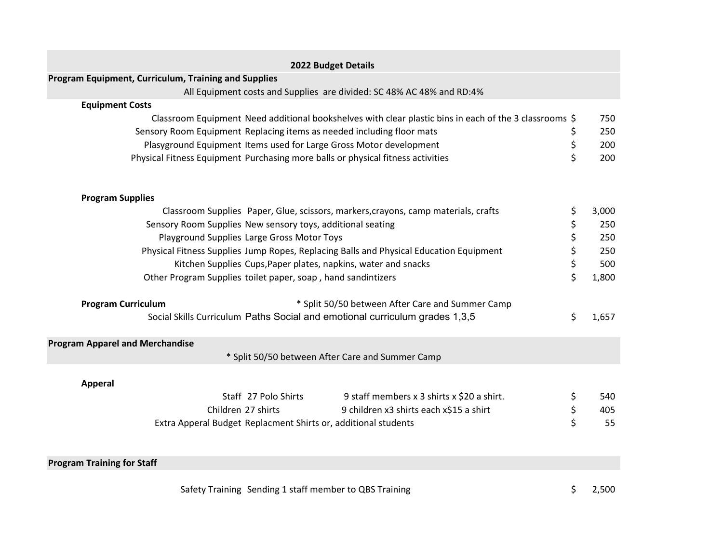|                                                                                                                                                                                                                                                                                                                                                                                                                                                                                                                                                                                                                                                                                                                                                                                                                                                                                                                                                                                                                                                                                 | 2022 Budget Details                                                   |    |       |  |  |  |  |  |  |
|---------------------------------------------------------------------------------------------------------------------------------------------------------------------------------------------------------------------------------------------------------------------------------------------------------------------------------------------------------------------------------------------------------------------------------------------------------------------------------------------------------------------------------------------------------------------------------------------------------------------------------------------------------------------------------------------------------------------------------------------------------------------------------------------------------------------------------------------------------------------------------------------------------------------------------------------------------------------------------------------------------------------------------------------------------------------------------|-----------------------------------------------------------------------|----|-------|--|--|--|--|--|--|
|                                                                                                                                                                                                                                                                                                                                                                                                                                                                                                                                                                                                                                                                                                                                                                                                                                                                                                                                                                                                                                                                                 |                                                                       |    |       |  |  |  |  |  |  |
|                                                                                                                                                                                                                                                                                                                                                                                                                                                                                                                                                                                                                                                                                                                                                                                                                                                                                                                                                                                                                                                                                 | All Equipment costs and Supplies are divided: SC 48% AC 48% and RD:4% |    |       |  |  |  |  |  |  |
| <b>Equipment Costs</b>                                                                                                                                                                                                                                                                                                                                                                                                                                                                                                                                                                                                                                                                                                                                                                                                                                                                                                                                                                                                                                                          |                                                                       |    |       |  |  |  |  |  |  |
|                                                                                                                                                                                                                                                                                                                                                                                                                                                                                                                                                                                                                                                                                                                                                                                                                                                                                                                                                                                                                                                                                 |                                                                       |    | 750   |  |  |  |  |  |  |
|                                                                                                                                                                                                                                                                                                                                                                                                                                                                                                                                                                                                                                                                                                                                                                                                                                                                                                                                                                                                                                                                                 |                                                                       | \$ | 250   |  |  |  |  |  |  |
| Program Equipment, Curriculum, Training and Supplies<br>Classroom Equipment Need additional bookshelves with clear plastic bins in each of the 3 classrooms \$<br>Sensory Room Equipment Replacing items as needed including floor mats<br>\$<br>Plasyground Equipment Items used for Large Gross Motor development<br>\$<br>Physical Fitness Equipment Purchasing more balls or physical fitness activities<br><b>Program Supplies</b><br>Classroom Supplies Paper, Glue, scissors, markers, crayons, camp materials, crafts<br>\$<br>\$<br>Sensory Room Supplies New sensory toys, additional seating<br>\$<br>Playground Supplies Large Gross Motor Toys<br>\$<br>Physical Fitness Supplies Jump Ropes, Replacing Balls and Physical Education Equipment<br>\$<br>Kitchen Supplies Cups, Paper plates, napkins, water and snacks<br>\$<br>Other Program Supplies toilet paper, soap, hand sandintizers<br>* Split 50/50 between After Care and Summer Camp<br><b>Program Curriculum</b><br>Social Skills Curriculum Paths Social and emotional curriculum grades 1,3,5<br>\$ |                                                                       |    |       |  |  |  |  |  |  |
|                                                                                                                                                                                                                                                                                                                                                                                                                                                                                                                                                                                                                                                                                                                                                                                                                                                                                                                                                                                                                                                                                 |                                                                       |    | 200   |  |  |  |  |  |  |
|                                                                                                                                                                                                                                                                                                                                                                                                                                                                                                                                                                                                                                                                                                                                                                                                                                                                                                                                                                                                                                                                                 |                                                                       |    |       |  |  |  |  |  |  |
|                                                                                                                                                                                                                                                                                                                                                                                                                                                                                                                                                                                                                                                                                                                                                                                                                                                                                                                                                                                                                                                                                 |                                                                       |    | 3,000 |  |  |  |  |  |  |
|                                                                                                                                                                                                                                                                                                                                                                                                                                                                                                                                                                                                                                                                                                                                                                                                                                                                                                                                                                                                                                                                                 |                                                                       |    | 250   |  |  |  |  |  |  |
|                                                                                                                                                                                                                                                                                                                                                                                                                                                                                                                                                                                                                                                                                                                                                                                                                                                                                                                                                                                                                                                                                 |                                                                       |    |       |  |  |  |  |  |  |
|                                                                                                                                                                                                                                                                                                                                                                                                                                                                                                                                                                                                                                                                                                                                                                                                                                                                                                                                                                                                                                                                                 |                                                                       |    |       |  |  |  |  |  |  |
|                                                                                                                                                                                                                                                                                                                                                                                                                                                                                                                                                                                                                                                                                                                                                                                                                                                                                                                                                                                                                                                                                 |                                                                       |    |       |  |  |  |  |  |  |
|                                                                                                                                                                                                                                                                                                                                                                                                                                                                                                                                                                                                                                                                                                                                                                                                                                                                                                                                                                                                                                                                                 |                                                                       |    |       |  |  |  |  |  |  |
|                                                                                                                                                                                                                                                                                                                                                                                                                                                                                                                                                                                                                                                                                                                                                                                                                                                                                                                                                                                                                                                                                 |                                                                       |    |       |  |  |  |  |  |  |
|                                                                                                                                                                                                                                                                                                                                                                                                                                                                                                                                                                                                                                                                                                                                                                                                                                                                                                                                                                                                                                                                                 |                                                                       |    | 1,657 |  |  |  |  |  |  |
| <b>Program Apparel and Merchandise</b>                                                                                                                                                                                                                                                                                                                                                                                                                                                                                                                                                                                                                                                                                                                                                                                                                                                                                                                                                                                                                                          |                                                                       |    |       |  |  |  |  |  |  |
|                                                                                                                                                                                                                                                                                                                                                                                                                                                                                                                                                                                                                                                                                                                                                                                                                                                                                                                                                                                                                                                                                 | * Split 50/50 between After Care and Summer Camp                      |    |       |  |  |  |  |  |  |
| <b>Apperal</b>                                                                                                                                                                                                                                                                                                                                                                                                                                                                                                                                                                                                                                                                                                                                                                                                                                                                                                                                                                                                                                                                  |                                                                       |    |       |  |  |  |  |  |  |
|                                                                                                                                                                                                                                                                                                                                                                                                                                                                                                                                                                                                                                                                                                                                                                                                                                                                                                                                                                                                                                                                                 | Staff 27 Polo Shirts<br>9 staff members x 3 shirts x \$20 a shirt.    | \$ | 540   |  |  |  |  |  |  |
|                                                                                                                                                                                                                                                                                                                                                                                                                                                                                                                                                                                                                                                                                                                                                                                                                                                                                                                                                                                                                                                                                 | Children 27 shirts<br>9 children x3 shirts each x\$15 a shirt         | \$ | 405   |  |  |  |  |  |  |
|                                                                                                                                                                                                                                                                                                                                                                                                                                                                                                                                                                                                                                                                                                                                                                                                                                                                                                                                                                                                                                                                                 | Extra Apperal Budget Replacment Shirts or, additional students        | \$ | 55    |  |  |  |  |  |  |
| <b>Program Training for Staff</b>                                                                                                                                                                                                                                                                                                                                                                                                                                                                                                                                                                                                                                                                                                                                                                                                                                                                                                                                                                                                                                               |                                                                       |    |       |  |  |  |  |  |  |
|                                                                                                                                                                                                                                                                                                                                                                                                                                                                                                                                                                                                                                                                                                                                                                                                                                                                                                                                                                                                                                                                                 |                                                                       |    |       |  |  |  |  |  |  |

Safety Training Sending 1 staff member to QBS Training  $\zeta$  and  $\zeta$  and  $\zeta$  and  $\zeta$  and  $\zeta$  and  $\zeta$  and  $\zeta$  and  $\zeta$  and  $\zeta$  and  $\zeta$  and  $\zeta$  and  $\zeta$  and  $\zeta$  and  $\zeta$  and  $\zeta$  and  $\zeta$  and  $\zeta$  a